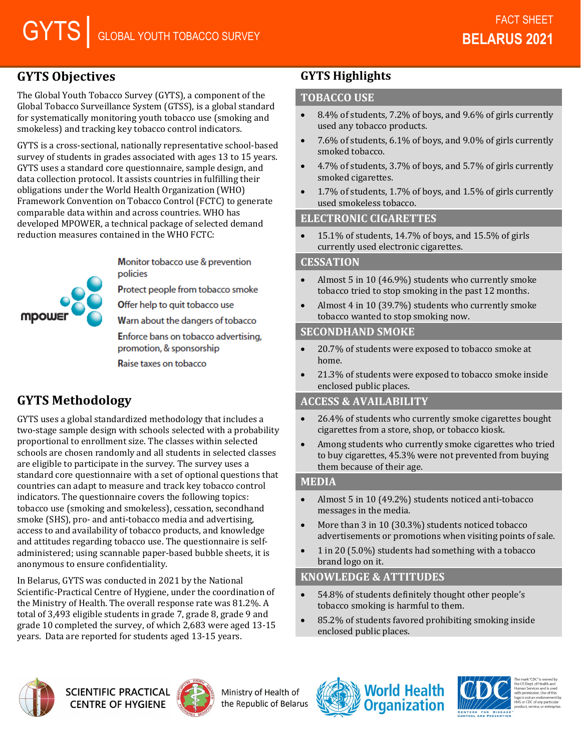# **GYTS Objectives**

The Global Youth Tobacco Survey (GYTS), a component of the Global Tobacco Surveillance System (GTSS), is a global standard for systematically monitoring youth tobacco use (smoking and smokeless) and tracking key tobacco control indicators.

GYTS is a cross-sectional, nationally representative school-based survey of students in grades associated with ages 13 to 15 years. GYTS uses a standard core questionnaire, sample design, and data collection protocol. It assists countries in fulfilling their obligations under the World Health Organization (WHO) Framework Convention on Tobacco Control (FCTC) to generate comparable data within and across countries. WHO has developed MPOWER, a technical package of selected demand reduction measures contained in the WHO FCTC:

> Monitor tobacco use & prevention policies

Protect people from tobacco smoke

Offer help to quit tobacco use

Warn about the dangers of tobacco

Enforce bans on tobacco advertising. promotion, & sponsorship

Raise taxes on tobacco

# **GYTS Methodology**

mpow

GYTS uses a global standardized methodology that includes a two-stage sample design with schools selected with a probability proportional to enrollment size. The classes within selected schools are chosen randomly and all students in selected classes are eligible to participate in the survey. The survey uses a standard core questionnaire with a set of optional questions that countries can adapt to measure and track key tobacco control indicators. The questionnaire covers the following topics: tobacco use (smoking and smokeless), cessation, secondhand smoke (SHS), pro- and anti-tobacco media and advertising, access to and availability of tobacco products, and knowledge and attitudes regarding tobacco use. The questionnaire is selfadministered; using scannable paper-based bubble sheets, it is anonymous to ensure confidentiality.

In Belarus, GYTS was conducted in 2021 by the National Scientific-Practical Centre of Hygiene, under the coordination of the Ministry of Health. The overall response rate was 81.2%. A total of 3,493 eligible students in grade 7, grade 8, grade 9 and grade 10 completed the survey, of which 2,683 were aged 13-15 years. Data are reported for students aged 13-15 years.

## **GYTS Highlights**

#### **TOBACCO USE**

- 8.4% of students, 7.2% of boys, and 9.6% of girls currently used any tobacco products.
- 7.6% of students, 6.1% of boys, and 9.0% of girls currently smoked tobacco.
- 4.7% of students, 3.7% of boys, and 5.7% of girls currently smoked cigarettes.
- 1.7% of students, 1.7% of boys, and 1.5% of girls currently used smokeless tobacco.

#### **ELECTRONIC CIGARETTES**

• 15.1% of students, 14.7% of boys, and 15.5% of girls currently used electronic cigarettes.

#### **CESSATION**

- Almost 5 in 10 (46.9%) students who currently smoke tobacco tried to stop smoking in the past 12 months.
- Almost 4 in 10 (39.7%) students who currently smoke tobacco wanted to stop smoking now.

#### **SECONDHAND SMOKE**

- 20.7% of students were exposed to tobacco smoke at home.
- 21.3% of students were exposed to tobacco smoke inside enclosed public places.

#### **ACCESS & AVAILABILITY**

- 26.4% of students who currently smoke cigarettes bought cigarettes from a store, shop, or tobacco kiosk.
- Among students who currently smoke cigarettes who tried to buy cigarettes, 45.3% were not prevented from buying them because of their age.

#### **MEDIA**

- Almost 5 in 10 (49.2%) students noticed anti-tobacco messages in the media.
- More than 3 in 10 (30.3%) students noticed tobacco advertisements or promotions when visiting points of sale.
- 1 in 20 (5.0%) students had something with a tobacco brand logo on it.

## **KNOWLEDGE & ATTITUDES**

- 54.8% of students definitely thought other people's tobacco smoking is harmful to them.
- 85.2% of students favored prohibiting smoking inside enclosed public places.



**SCIENTIFIC PRACTICAL CENTRE OF HYGIENE** 



Ministry of Health of the Republic of Belarus